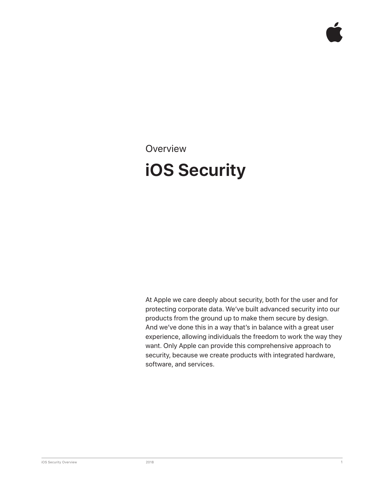**Overview** 

## **iOS Security**

At Apple we care deeply about security, both for the user and for protecting corporate data. We've built advanced security into our products from the ground up to make them secure by design. And we've done this in a way that's in balance with a great user experience, allowing individuals the freedom to work the way they want. Only Apple can provide this comprehensive approach to security, because we create products with integrated hardware, software, and services.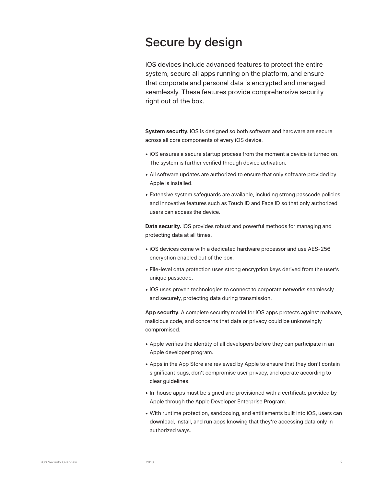## Secure by design

iOS devices include advanced features to protect the entire system, secure all apps running on the platform, and ensure that corporate and personal data is encrypted and managed seamlessly. These features provide comprehensive security right out of the box.

**System security.** iOS is designed so both software and hardware are secure across all core components of every iOS device.

- iOS ensures a secure startup process from the moment a device is turned on. The system is further verified through device activation.
- All software updates are authorized to ensure that only software provided by Apple is installed.
- Extensive system safeguards are available, including strong passcode policies and innovative features such as Touch ID and Face ID so that only authorized users can access the device.

**Data security.** iOS provides robust and powerful methods for managing and protecting data at all times.

- iOS devices come with a dedicated hardware processor and use AES-256 encryption enabled out of the box.
- File-level data protection uses strong encryption keys derived from the user's unique passcode.
- iOS uses proven technologies to connect to corporate networks seamlessly and securely, protecting data during transmission.

**App security.** A complete security model for iOS apps protects against malware, malicious code, and concerns that data or privacy could be unknowingly compromised.

- Apple verifies the identity of all developers before they can participate in an Apple developer program.
- Apps in the App Store are reviewed by Apple to ensure that they don't contain significant bugs, don't compromise user privacy, and operate according to clear guidelines.
- In-house apps must be signed and provisioned with a certificate provided by Apple through the Apple Developer Enterprise Program.
- With runtime protection, sandboxing, and entitlements built into iOS, users can download, install, and run apps knowing that they're accessing data only in authorized ways.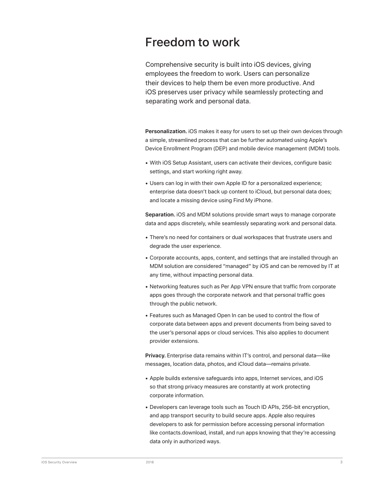## Freedom to work

Comprehensive security is built into iOS devices, giving employees the freedom to work. Users can personalize their devices to help them be even more productive. And iOS preserves user privacy while seamlessly protecting and separating work and personal data.

**Personalization.** iOS makes it easy for users to set up their own devices through a simple, streamlined process that can be further automated using Apple's Device Enrollment Program (DEP) and mobile device management (MDM) tools.

- With iOS Setup Assistant, users can activate their devices, configure basic settings, and start working right away.
- Users can log in with their own Apple ID for a personalized experience; enterprise data doesn't back up content to iCloud, but personal data does; and locate a missing device using Find My iPhone.

**Separation.** iOS and MDM solutions provide smart ways to manage corporate data and apps discretely, while seamlessly separating work and personal data.

- There's no need for containers or dual workspaces that frustrate users and degrade the user experience.
- Corporate accounts, apps, content, and settings that are installed through an MDM solution are considered "managed" by iOS and can be removed by IT at any time, without impacting personal data.
- Networking features such as Per App VPN ensure that traffic from corporate apps goes through the corporate network and that personal traffic goes through the public network.
- Features such as Managed Open In can be used to control the flow of corporate data between apps and prevent documents from being saved to the user's personal apps or cloud services. This also applies to document provider extensions.

**Privacy.** Enterprise data remains within IT's control, and personal data—like messages, location data, photos, and iCloud data—remains private.

- Apple builds extensive safeguards into apps, Internet services, and iOS so that strong privacy measures are constantly at work protecting corporate information.
- Developers can leverage tools such as Touch ID APIs, 256-bit encryption, and app transport security to build secure apps. Apple also requires developers to ask for permission before accessing personal information like contacts.download, install, and run apps knowing that they're accessing data only in authorized ways.